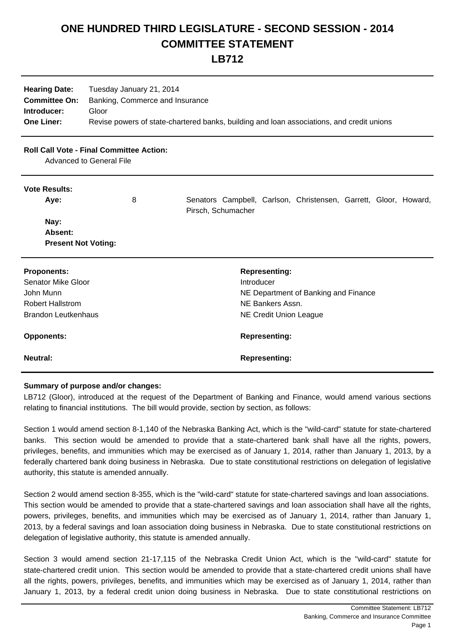## **ONE HUNDRED THIRD LEGISLATURE - SECOND SESSION - 2014 COMMITTEE STATEMENT**

**LB712**

| <b>Hearing Date:</b> | Tuesday January 21, 2014                                                                  |
|----------------------|-------------------------------------------------------------------------------------------|
| <b>Committee On:</b> | Banking, Commerce and Insurance                                                           |
| Introducer:          | Gloor                                                                                     |
| <b>One Liner:</b>    | Revise powers of state-chartered banks, building and loan associations, and credit unions |

## **Roll Call Vote - Final Committee Action:**

Advanced to General File

## **Vote Results:**

| Aye:                       | 8 | Senators Campbell, Carlson, Christensen, Garrett, Gloor, Howard,<br>Pirsch, Schumacher |                      |  |  |
|----------------------------|---|----------------------------------------------------------------------------------------|----------------------|--|--|
| Nay:                       |   |                                                                                        |                      |  |  |
| Absent:                    |   |                                                                                        |                      |  |  |
| <b>Present Not Voting:</b> |   |                                                                                        |                      |  |  |
| <b>Proponents:</b>         |   |                                                                                        | <b>Representing:</b> |  |  |
| <b>Senator Mike Gloor</b>  |   | Introducer                                                                             |                      |  |  |

| Senator Mike Gloor         | Introducer                           |
|----------------------------|--------------------------------------|
| John Munn                  | NE Department of Banking and Finance |
| <b>Robert Hallstrom</b>    | NE Bankers Assn.                     |
| <b>Brandon Leutkenhaus</b> | NE Credit Union League               |
|                            |                                      |
|                            |                                      |
| <b>Opponents:</b>          | <b>Representing:</b>                 |
|                            |                                      |
| Neutral:                   | <b>Representing:</b>                 |

## **Summary of purpose and/or changes:**

LB712 (Gloor), introduced at the request of the Department of Banking and Finance, would amend various sections relating to financial institutions. The bill would provide, section by section, as follows:

Section 1 would amend section 8-1,140 of the Nebraska Banking Act, which is the "wild-card" statute for state-chartered banks. This section would be amended to provide that a state-chartered bank shall have all the rights, powers, privileges, benefits, and immunities which may be exercised as of January 1, 2014, rather than January 1, 2013, by a federally chartered bank doing business in Nebraska. Due to state constitutional restrictions on delegation of legislative authority, this statute is amended annually.

Section 2 would amend section 8-355, which is the "wild-card" statute for state-chartered savings and loan associations. This section would be amended to provide that a state-chartered savings and loan association shall have all the rights, powers, privileges, benefits, and immunities which may be exercised as of January 1, 2014, rather than January 1, 2013, by a federal savings and loan association doing business in Nebraska. Due to state constitutional restrictions on delegation of legislative authority, this statute is amended annually.

Section 3 would amend section 21-17,115 of the Nebraska Credit Union Act, which is the "wild-card" statute for state-chartered credit union. This section would be amended to provide that a state-chartered credit unions shall have all the rights, powers, privileges, benefits, and immunities which may be exercised as of January 1, 2014, rather than January 1, 2013, by a federal credit union doing business in Nebraska. Due to state constitutional restrictions on